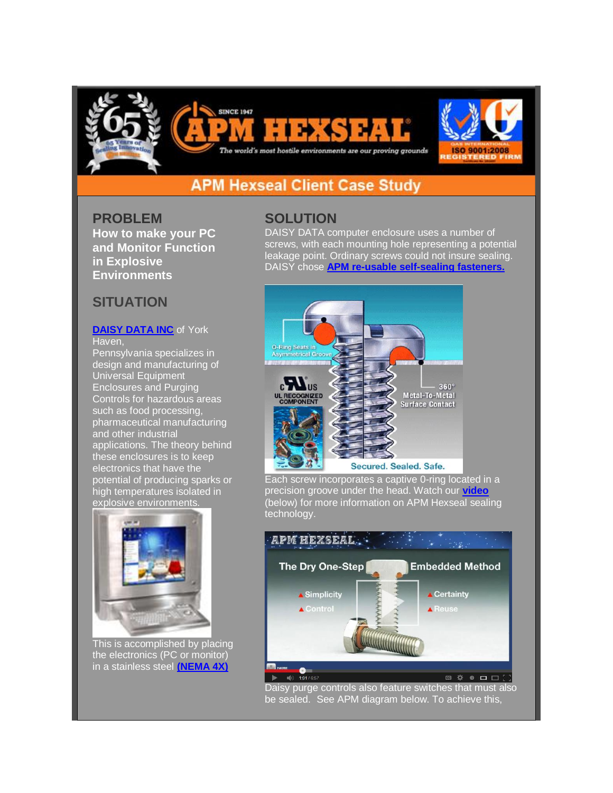





## **APM Hexseal Client Case Study**

**SINCE 1947** 

**PROBLEM How to make your PC and Monitor Function in Explosive Environments**

## **SITUATION**

## **[DAISY DATA INC](http://r20.rs6.net/tn.jsp?f=001uLhd3-h7MijeP_4-tQkgGV01v3t9K1v1FaJa6pS_leIdYG_EyqeZS6L3J222Xbs_BRFtxFQp9uPekeRwchErueiHCljsX1nEKfF0BZXMTnp0MfZDVzE9G8ozpo4OQgxDXJbl2v2uxU-rYxoq7QZG-qT6DAF87PHH-i-d6AdodLs=&c=nomzAcM-eZwXnRuqIXI5pzqAF5IwO90v6RB3ZjXWP9TgwBIKrdMPrA==&ch=tGOqiHJvdwyNsXx57fXJsdT_wn2d2PCAJNTDJDIAfw5exwue3C1lfQ==)** of York Haven,

Pennsylvania specializes in design and manufacturing of Universal Equipment Enclosures and Purging Controls for hazardous areas such as food processing, pharmaceutical manufacturing and other industrial applications. The theory behind these enclosures is to keep electronics that have the potential of producing sparks or high temperatures isolated in explosive environments.



This is accomplished by placing the electronics (PC or monitor) in a stainless steel **[\(NEMA 4X\)](http://r20.rs6.net/tn.jsp?f=001uLhd3-h7MijeP_4-tQkgGV01v3t9K1v1FaJa6pS_leIdYG_EyqeZS_jknW_qzkKfrO3u4dFYvRPJhUCXLuixGgWqRSQ47STwJdBfNHM7o0dnHiNhY43jp_KshcvuuU7or1xRW7jVrV9gKxtD3cBQ3w9FgKluZ1-eevv-1fEZeUvQsQvsX47mSajJ9Aj-etwE&c=nomzAcM-eZwXnRuqIXI5pzqAF5IwO90v6RB3ZjXWP9TgwBIKrdMPrA==&ch=tGOqiHJvdwyNsXx57fXJsdT_wn2d2PCAJNTDJDIAfw5exwue3C1lfQ==)**

## **SOLUTION**

DAISY DATA computer enclosure uses a number of screws, with each mounting hole representing a potential leakage point. Ordinary screws could not insure sealing. DAISY chose **[APM re-usable self-sealing fasteners.](http://r20.rs6.net/tn.jsp?f=001uLhd3-h7MijeP_4-tQkgGV01v3t9K1v1FaJa6pS_leIdYG_EyqeZS_jknW_qzkKfqzkbgy2LfehTRZojFMij-gJxeMVd7doWroEFIxLpoWkRShFIr54DRwA0YLaKd6gj9oYUZ9HxlM6z6jvOE3oZxiQYvhnQWxQcK7jIW09XhufLTKydT5PIdAvzYby5qs4Pqf6MfSCRRbiLwRR6u0YZbkOWGfelL7yGkPjsdbf8rkOFi0tZUoDPxg==&c=nomzAcM-eZwXnRuqIXI5pzqAF5IwO90v6RB3ZjXWP9TgwBIKrdMPrA==&ch=tGOqiHJvdwyNsXx57fXJsdT_wn2d2PCAJNTDJDIAfw5exwue3C1lfQ==)**



Each screw incorporates a captive 0-ring located in a precision groove under the head. Watch our **[video](http://r20.rs6.net/tn.jsp?f=001uLhd3-h7MijeP_4-tQkgGV01v3t9K1v1FaJa6pS_leIdYG_EyqeZSzOFVLomoSHyf04PwiHAZ_2jD0ONE71cTWtXz2sbc7g0EoR9VThGawBarKtaSw5q0iW8C8xY52XC6XERQSTUMYPgpGzw8zeNyiM9f5ianirOmI9MXpVbOYpvfnKtkhZhq3Oz_UIwOq5woSkTbAY84XY=&c=nomzAcM-eZwXnRuqIXI5pzqAF5IwO90v6RB3ZjXWP9TgwBIKrdMPrA==&ch=tGOqiHJvdwyNsXx57fXJsdT_wn2d2PCAJNTDJDIAfw5exwue3C1lfQ==)** (below) for more information on APM Hexseal sealing technology.